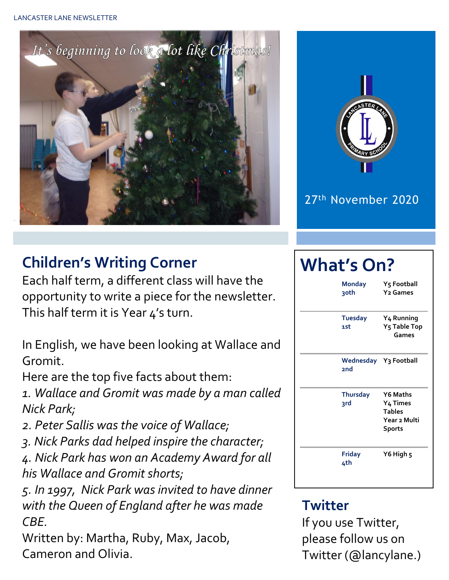



#### 27th November 2020

# **Children's Writing Corner**

Each half term, a different class will have the opportunity to write a piece for the newsletter. This half term it is Year 4's turn.

In English, we have been looking at Wallace and Gromit.

Here are the top five facts about them:

*1. Wallace and Gromit was made by a man called Nick Park;*

- *2. Peter Sallis was the voice of Wallace;*
- *3. Nick Parks dad helped inspire the character;*

*4. Nick Park has won an Academy Award for all his Wallace and Gromit shorts;*

*5. In 1997, Nick Park was invited to have dinner with the Queen of England after he was made CBE.*

Written by: Martha, Ruby, Max, Jacob, Cameron and Olivia.

# **What's On?**

| <b>Monday</b><br>30th               | Y5 Football<br><b>Y<sub>2</sub></b> Games                              |
|-------------------------------------|------------------------------------------------------------------------|
| <b>Tuesday</b><br>1st               | Y <sub>4</sub> Running<br>Y5 Table Top<br>Games                        |
| Wednesday Y3 Football<br><b>2nd</b> |                                                                        |
| <b>Thursday</b><br>3rd              | Y6 Maths<br>Y4 Times<br><b>Tables</b><br>Year 2 Multi<br><b>Sports</b> |
| Friday<br>4th                       | Y6 High 5                                                              |

#### **Twitter**

If you use Twitter, please follow us on Twitter (@lancylane.)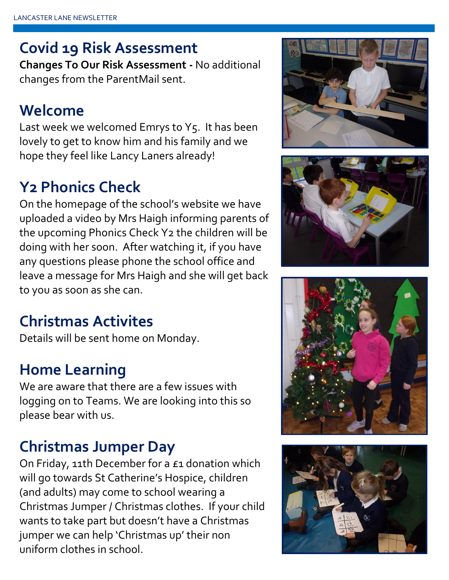## **Covid 19 Risk Assessment**

**Changes To Our Risk Assessment -** No additional changes from the ParentMail sent.

#### **Welcome**

Last week we welcomed Emrys to Y5. It has been lovely to get to know him and his family and we hope they feel like Lancy Laners already!

# **Y2 Phonics Check**

On the homepage of the school's website we have uploaded a video by Mrs Haigh informing parents of the upcoming Phonics Check Y2 the children will be doing with her soon. After watching it, if you have any questions please phone the school office and leave a message for Mrs Haigh and she will get back to you as soon as she can.

## **Christmas Activites**

Details will be sent home on Monday.

#### **Home Learning**

We are aware that there are a few issues with logging on to Teams. We are looking into this so please bear with us.

#### **Christmas Jumper Day**

On Friday, 11th December for a £1 donation which will go towards St Catherine's Hospice, children (and adults) may come to school wearing a Christmas Jumper / Christmas clothes. If your child wants to take part but doesn't have a Christmas jumper we can help 'Christmas up' their non uniform clothes in school.